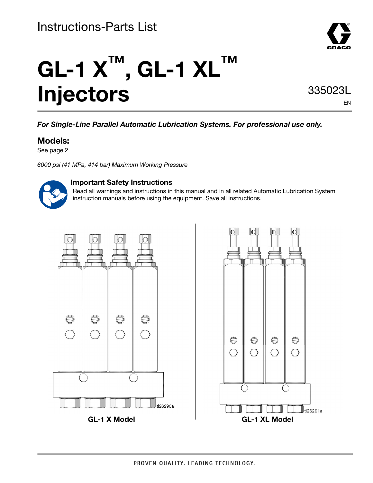

# **GL-1 X™, GL-1 XL™ Injectors**

335023L

EN

#### **For Single-Line Parallel Automatic Lubrication Systems. For professional use only.**

#### **Models:**

See page [2](#page-1-0)

6000 psi (41 MPa, 414 bar) Maximum Working Pressure



#### **Important Safety Instructions**

Read all warnings and instructions in this manual and in all related Automatic Lubrication System instruction manuals before using the equipment. Save all instructions.



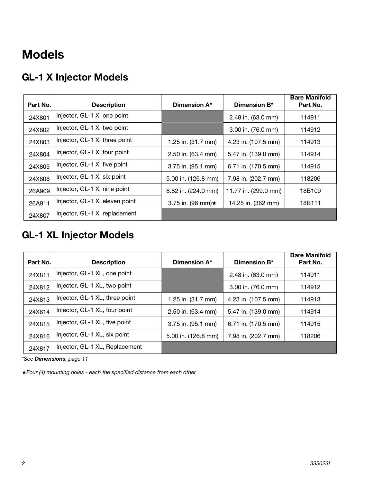# <span id="page-1-0"></span>**Models**

### **GL-1 X Injector Models**

| Part No. | <b>Description</b>             | Dimension A*             | Dimension B*         | <b>Bare Manifold</b><br>Part No. |
|----------|--------------------------------|--------------------------|----------------------|----------------------------------|
| 24X801   | Injector, GL-1 X, one point    |                          | 2.48 in. (63.0 mm)   | 114911                           |
| 24X802   | Injector, GL-1 X, two point    |                          | 3.00 in. (76.0 mm)   | 114912                           |
| 24X803   | Injector, GL-1 X, three point  | 1.25 in. (31.7 mm)       | 4.23 in. (107.5 mm)  | 114913                           |
| 24X804   | Injector, GL-1 X, four point   | 2.50 in. (63.4 mm)       | 5.47 in. (139.0 mm)  | 114914                           |
| 24X805   | Injector, GL-1 X, five point   | 3.75 in. (95.1 mm)       | 6.71 in. (170.5 mm)  | 114915                           |
| 24X806   | Injector, GL-1 X, six point    | 5.00 in. (126.8 mm)      | 7.98 in. (202.7 mm)  | 118206                           |
| 26A909   | Injector, GL-1 X, nine point   | 8.82 in. (224.0 mm)      | 11.77 in. (299.0 mm) | 18B109                           |
| 26A911   | Injector, GL-1 X, eleven point | 3.75 in. (96 mm) $\star$ | 14.25 in. (362 mm)   | 18B111                           |
| 24X807   | Injector, GL-1 X, replacement  |                          |                      |                                  |

### **GL-1 XL Injector Models**

| Part No. | <b>Description</b>             | Dimension A*        | Dimension B*        | <b>Bare Manifold</b><br>Part No. |
|----------|--------------------------------|---------------------|---------------------|----------------------------------|
| 24X811   | Injector, GL-1 XL, one point   |                     | 2.48 in. (63.0 mm)  | 114911                           |
| 24X812   | Injector, GL-1 XL, two point   |                     | 3.00 in. (76.0 mm)  | 114912                           |
| 24X813   | Injector, GL-1 XL, three point | 1.25 in. (31.7 mm)  | 4.23 in. (107.5 mm) | 114913                           |
| 24X814   | Injector, GL-1 XL, four point  | 2.50 in. (63.4 mm)  | 5.47 in. (139.0 mm) | 114914                           |
| 24X815   | Injector, GL-1 XL, five point  | 3.75 in. (95.1 mm)  | 6.71 in. (170.5 mm) | 114915                           |
| 24X816   | Injector, GL-1 XL, six point   | 5.00 in. (126.8 mm) | 7.98 in. (202.7 mm) | 118206                           |
| 24X817   | Injector, GL-1 XL, Replacement |                     |                     |                                  |

\*See **[Dimensions](#page-10-0)**, page [11](#page-10-0)

★Four (4) mounting holes - each the specified distance from each other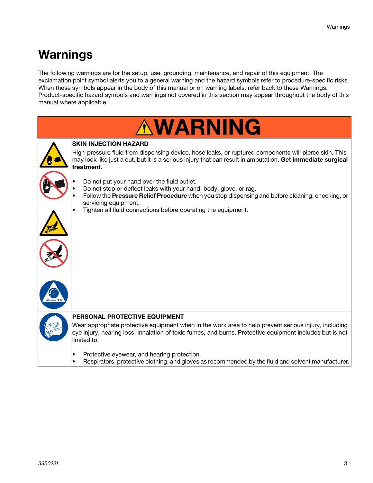# **Warnings**

The following warnings are for the setup, use, grounding, maintenance, and repair of this equipment. The exclamation point symbol alerts you to a general warning and the hazard symbols refer to procedure-specific risks. When these symbols appear in the body of this manual or on warning labels, refer back to these Warnings. Product-specific hazard symbols and warnings not covered in this section may appear throughout the body of this manual where applicable.

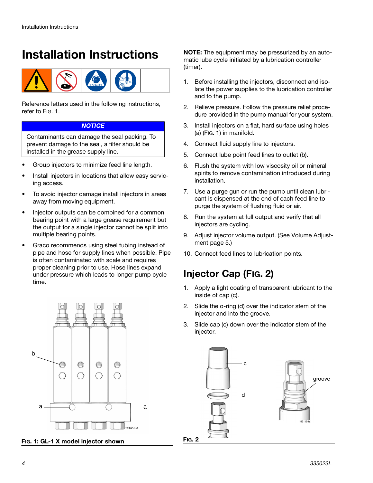### **Installation Instructions**



Reference letters used in the following instructions, refer to [FIG. 1.](#page-3-0)

#### **NOTICE**

Contaminants can damage the seal packing. To prevent damage to the seal, a filter should be installed in the grease supply line.

- Group injectors to minimize feed line length.
- Install injectors in locations that allow easy servicing access.
- To avoid injector damage install injectors in areas away from moving equipment.
- Injector outputs can be combined for a common bearing point with a large grease requirement but the output for a single injector cannot be split into multiple bearing points.
- Graco recommends using steel tubing instead of pipe and hose for supply lines when possible. Pipe is often contaminated with scale and requires proper cleaning prior to use. Hose lines expand under pressure which leads to longer pump cycle time.



<span id="page-3-0"></span>**FIG. 1: GL-1 X model injector shown**

**NOTE:** The equipment may be pressurized by an automatic lube cycle initiated by a lubrication controller (timer).

- 1. Before installing the injectors, disconnect and isolate the power supplies to the lubrication controller and to the pump.
- 2. Relieve pressure. Follow the pressure relief procedure provided in the pump manual for your system.
- 3. Install injectors on a flat, hard surface using holes (a) ([FIG. 1](#page-3-0)) in manifold.
- 4. Connect fluid supply line to injectors.
- 5. Connect lube point feed lines to outlet (b).
- 6. Flush the system with low viscosity oil or mineral spirits to remove contamination introduced during installation.
- 7. Use a purge gun or run the pump until clean lubricant is dispensed at the end of each feed line to purge the system of flushing fluid or air.
- 8. Run the system at full output and verify that all injectors are cycling.
- 9. Adjust injector volume output. (See Volume Adjustment page [5.](#page-4-0))
- 10. Connect feed lines to lubrication points.

### <span id="page-3-1"></span>**Injector Cap (FIG. 2)**

- 1. Apply a light coating of transparent lubricant to the inside of cap (c).
- 2. Slide the o-ring (d) over the indicator stem of the injector and into the groove.
- 3. Slide cap (c) down over the indicator stem of the injector.

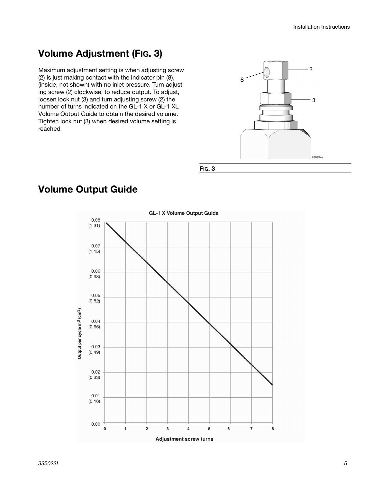### <span id="page-4-0"></span>**Volume Adjustment (FIG. 3)**

Maximum adjustment setting is when adjusting screw (2) is just making contact with the indicator pin (8), (inside, not shown) with no inlet pressure. Turn adjusting screw (2) clockwise, to reduce output. To adjust, loosen lock nut (3) and turn adjusting screw (2) the number of turns indicated on the GL-1 X or GL-1 XL Volume Output Guide to obtain the desired volume. Tighten lock nut (3) when desired volume setting is reached.



**FIG. 3**



### **Volume Output Guide**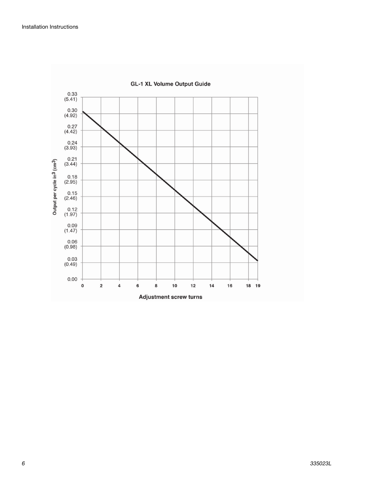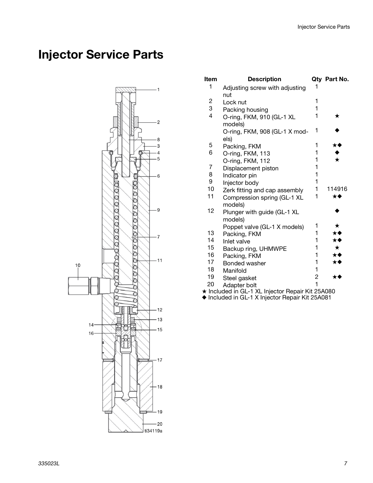# **Injector Service Parts**



| Item           | <b>Description</b>                                                  |                | Qty Part No. |
|----------------|---------------------------------------------------------------------|----------------|--------------|
| 1              | Adjusting screw with adjusting                                      |                |              |
|                | nut                                                                 |                |              |
| 2              | Lock nut                                                            | 1              |              |
| 3              | Packing housing                                                     | 1              |              |
| $\overline{4}$ | O-ring, FKM, 910 (GL-1 XL                                           | 1              | ★            |
|                | models)                                                             |                |              |
|                | O-ring, FKM, 908 (GL-1 X mod-                                       | 1              |              |
|                | els)                                                                |                |              |
| 5              | Packing, FKM                                                        | 1              | ★◆           |
| 6              | O-ring, FKM, 113                                                    | 1              |              |
|                | O-ring, FKM, 112                                                    | 1              | $\star$      |
| 7              | Displacement piston                                                 | 1              |              |
| 8              | Indicator pin                                                       | 1              |              |
| 9              | Injector body                                                       | 1              |              |
| 10             | Zerk fitting and cap assembly                                       | 1              | 114916       |
| 11             | Compression spring (GL-1 XL                                         | 1              | ★◆           |
|                | models)                                                             |                |              |
| 12             | Plunger with guide (GL-1 XL                                         |                |              |
|                | models)                                                             |                |              |
|                | Poppet valve (GL-1 X models)                                        | 1              | ★            |
| 13             | Packing, FKM                                                        | 1              | ★◆           |
| 14             | Inlet valve                                                         | 1              | ★◆           |
| 15             | Backup ring, UHMWPE                                                 | 1              | $\star$      |
| 16             | Packing, FKM                                                        | 1              | ★◆           |
| 17             | Bonded washer                                                       | 1              | ★◆           |
| 18             | Manifold                                                            | 1              |              |
| 19             | Steel gasket                                                        | $\overline{c}$ | ★♦           |
| 20             | Adapter bolt                                                        | 1              |              |
|                | $\sim$ Included in $\sim$ 1.1 VI. Injector Depoir Kit $\sim$ 65 000 |                |              |

★ Included in GL-1 XL Injector Repair Kit 25A080

◆ Included in GL-1 X Injector Repair Kit 25A081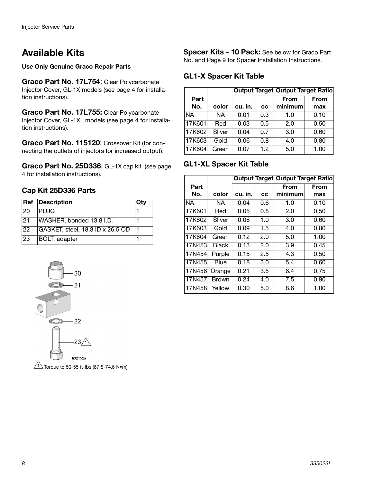### **Available Kits**

**Use Only Genuine Graco Repair Parts**

**Graco Part No. 17L754**: Clear Polycarbonate Injector Cover, GL-1X models (see page [4](#page-3-1) for installation instructions).

**Graco Part No. 17L755:** Clear Polycarbonate Injector Cover, GL-1XL models (see page [4](#page-3-1) for installation instructions).

**Graco Part No. 115120**: Crossover Kit (for connecting the outlets of injectors for increased output).

**Graco Part No. 25D336**: GL-1X cap kit (see page [4](#page-3-1) for installation instructions).

#### **Cap Kit 25D336 Parts**

|     | <b>Ref</b> Description           | Qty |
|-----|----------------------------------|-----|
| 120 | IPLUG                            |     |
| 21  | WASHER, bonded 13.8 I.D.         |     |
| 22  | GASKET, steel, 18.3 ID x 26.5 OD |     |
| 23  | <b>BOLT</b> , adapter            |     |

**Spacer Kits - 10 Pack:** See below for Graco Part No. and Page 9 for Spacer Installation Instructions.

#### **GL1-X Spacer Kit Table**

|             |        | <b>Output Target Output Target Ratio</b> |     |                 |                    |
|-------------|--------|------------------------------------------|-----|-----------------|--------------------|
| Part<br>No. | color  | cu. in.                                  | CC  | From<br>minimum | <b>From</b><br>max |
| NA.         | NA     | 0.01                                     | 0.3 | 1.0             | 0.10               |
| 17K601      | Red    | 0.03                                     | 0.5 | 2.0             | 0.50               |
| 17K602      | Sliver | 0.04                                     | 0.7 | 3.0             | 0.60               |
| 17K603      | Gold   | 0.06                                     | 0.8 | 4.0             | 0.80               |
| 17K604      | Green  | 0.07                                     | 1.2 | 5.0             | 1.00               |

#### **GL1-XL Spacer Kit Table**

|        |              |         |     | <b>Output Target Output Target Ratio</b> |      |
|--------|--------------|---------|-----|------------------------------------------|------|
| Part   |              |         |     | <b>From</b>                              | From |
| No.    | color        | cu. in. | CC  | minimum                                  | max  |
| NA.    | NA.          | 0.04    | 0.6 | 1.0                                      | 0.10 |
| 17K601 | Red          | 0.05    | 0.8 | 2.0                                      | 0.50 |
| 17K602 | Sliver       | 0.06    | 1.0 | 3.0                                      | 0.60 |
| 17K603 | Gold         | 0.09    | 1.5 | 4.0                                      | 0.80 |
| 17K604 | Green        | 0.12    | 2.0 | 5.0                                      | 1.00 |
| 17N453 | <b>Black</b> | 0.13    | 2.0 | 3.9                                      | 0.45 |
| 17N454 | Purple       | 0.15    | 2.5 | 4.3                                      | 0.50 |
| 17N455 | Blue         | 0.18    | 3.0 | 5.4                                      | 0.60 |
| 17N456 | Orange       | 0.21    | 3.5 | 6.4                                      | 0.75 |
| 17N457 | Brown        | 0.24    | 4.0 | $\overline{7.5}$                         | 0.90 |
| 17N458 | Yellow       | 0.30    | 5.0 | 8.6                                      | 1.00 |

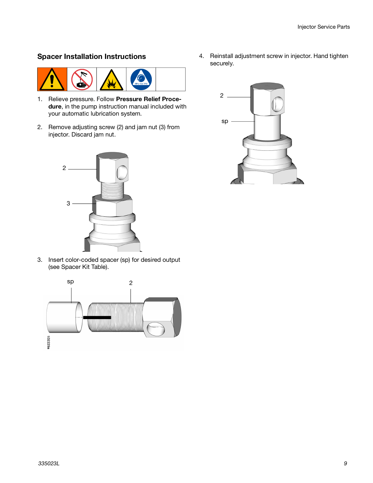#### **Spacer Installation Instructions**



- 1. Relieve pressure. Follow **Pressure Relief Procedure**, in the pump instruction manual included with your automatic lubrication system.
- 2. Remove adjusting screw (2) and jam nut (3) from injector. Discard jam nut.



3. Insert color-coded spacer (sp) for desired output (see Spacer Kit Table).



4. Reinstall adjustment screw in injector. Hand tighten securely.

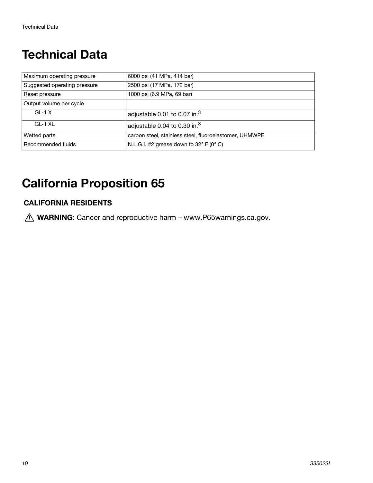# **Technical Data**

| Maximum operating pressure   | 6000 psi (41 MPa, 414 bar)                             |  |
|------------------------------|--------------------------------------------------------|--|
| Suggested operating pressure | 2500 psi (17 MPa, 172 bar)                             |  |
| Reset pressure               | 1000 psi (6.9 MPa, 69 bar)                             |  |
| Output volume per cycle      |                                                        |  |
| $GL-1 X$                     | adjustable 0.01 to 0.07 in. $3$                        |  |
| $GL-1XL$                     | adjustable 0.04 to 0.30 in. $3$                        |  |
| Wetted parts                 | carbon steel, stainless steel, fluoroelastomer, UHMWPE |  |
| Recommended fluids           | N.L.G.I. #2 grease down to 32° F (0° C)                |  |

# **California Proposition 65**

#### **CALIFORNIA RESIDENTS**

*A* WARNING: Cancer and reproductive harm – www.P65warnings.ca.gov.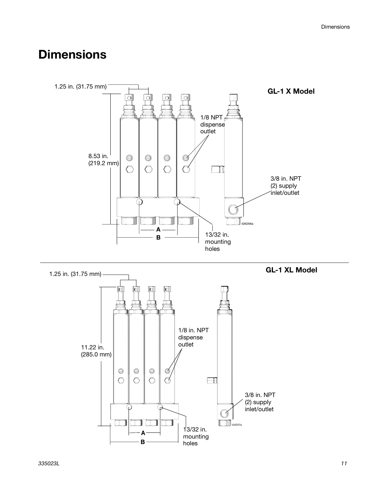# <span id="page-10-0"></span>**Dimensions**